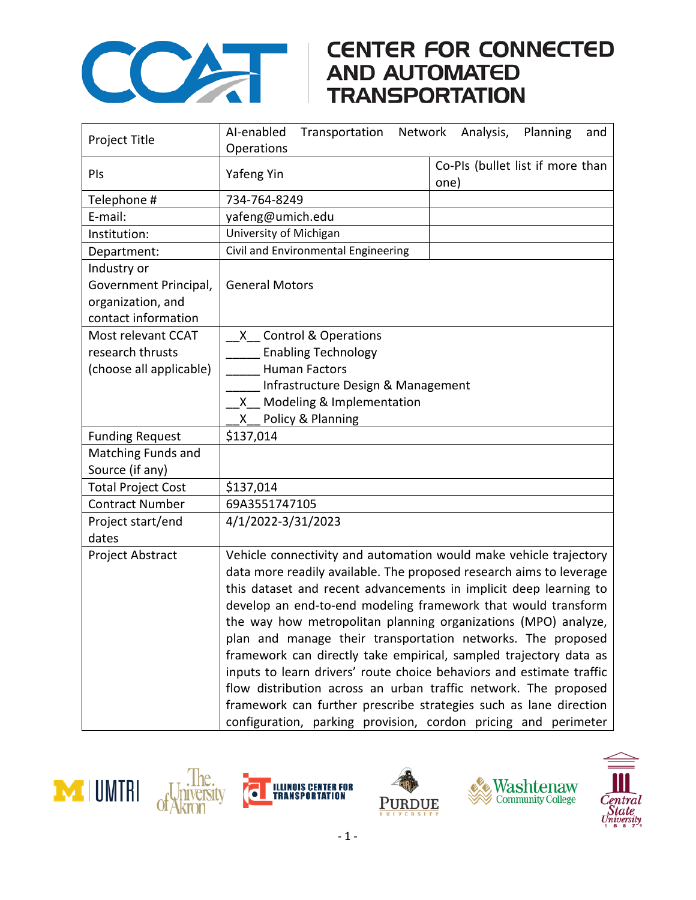

## COMPARE CONNECTED<br>AND AUTOMATED<br>TRANSPORTATION

| Project Title             | Al-enabled<br>Network<br>Analysis,<br>Planning<br>Transportation<br>and |                                  |
|---------------------------|-------------------------------------------------------------------------|----------------------------------|
|                           | Operations                                                              | Co-PIs (bullet list if more than |
| PIs                       | Yafeng Yin                                                              | one)                             |
| Telephone #               | 734-764-8249                                                            |                                  |
| E-mail:                   | yafeng@umich.edu                                                        |                                  |
| Institution:              | University of Michigan                                                  |                                  |
| Department:               | Civil and Environmental Engineering                                     |                                  |
| Industry or               |                                                                         |                                  |
| Government Principal,     | <b>General Motors</b>                                                   |                                  |
| organization, and         |                                                                         |                                  |
| contact information       |                                                                         |                                  |
| Most relevant CCAT        | X Control & Operations                                                  |                                  |
| research thrusts          | <b>Enabling Technology</b>                                              |                                  |
| (choose all applicable)   | <b>Human Factors</b>                                                    |                                  |
|                           | Infrastructure Design & Management                                      |                                  |
|                           | Modeling & Implementation<br>X.                                         |                                  |
|                           | Policy & Planning<br>X.                                                 |                                  |
| <b>Funding Request</b>    | \$137,014                                                               |                                  |
| Matching Funds and        |                                                                         |                                  |
| Source (if any)           |                                                                         |                                  |
| <b>Total Project Cost</b> | \$137,014                                                               |                                  |
| <b>Contract Number</b>    | 69A3551747105                                                           |                                  |
| Project start/end         | 4/1/2022-3/31/2023                                                      |                                  |
| dates                     |                                                                         |                                  |
| Project Abstract          | Vehicle connectivity and automation would make vehicle trajectory       |                                  |
|                           | data more readily available. The proposed research aims to leverage     |                                  |
|                           | this dataset and recent advancements in implicit deep learning to       |                                  |
|                           | develop an end-to-end modeling framework that would transform           |                                  |
|                           | the way how metropolitan planning organizations (MPO) analyze,          |                                  |
|                           | plan and manage their transportation networks. The proposed             |                                  |
|                           | framework can directly take empirical, sampled trajectory data as       |                                  |
|                           | inputs to learn drivers' route choice behaviors and estimate traffic    |                                  |
|                           | flow distribution across an urban traffic network. The proposed         |                                  |
|                           | framework can further prescribe strategies such as lane direction       |                                  |
|                           | configuration, parking provision, cordon pricing and perimeter          |                                  |





The.

kron



Ò